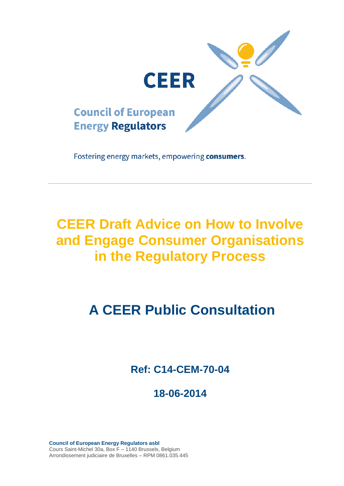

Fostering energy markets, empowering consumers.

# **CEER Draft Advice on How to Involve and Engage Consumer Organisations in the Regulatory Process**

# **A CEER Public Consultation**

**Ref: C14-CEM-70-04**

# **18-06-2014**

**Council of European Energy Regulators asbl** Cours Saint-Michel 30a, Box F – 1140 Brussels, Belgium Arrondissement judiciaire de Bruxelles – RPM 0861.035.445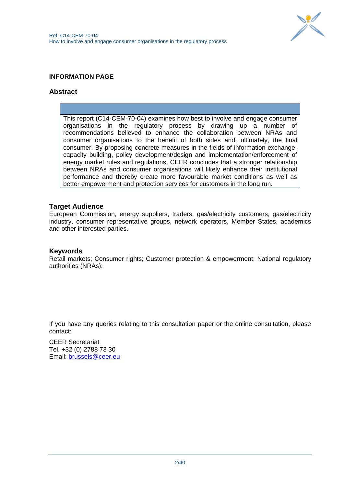

# **INFORMATION PAGE**

#### **Abstract**

This report (C14-CEM-70-04) examines how best to involve and engage consumer organisations in the regulatory process by drawing up a number of recommendations believed to enhance the collaboration between NRAs and consumer organisations to the benefit of both sides and, ultimately, the final consumer. By proposing concrete measures in the fields of information exchange, capacity building, policy development/design and implementation/enforcement of energy market rules and regulations, CEER concludes that a stronger relationship between NRAs and consumer organisations will likely enhance their institutional performance and thereby create more favourable market conditions as well as better empowerment and protection services for customers in the long run.

#### **Target Audience**

European Commission, energy suppliers, traders, gas/electricity customers, gas/electricity industry, consumer representative groups, network operators, Member States, academics and other interested parties.

#### **Keywords**

Retail markets; Consumer rights; Customer protection & empowerment; National regulatory authorities (NRAs);

If you have any queries relating to this consultation paper or the online consultation, please contact:

CEER Secretariat Tel. +32 (0) 2788 73 30 Email: [brussels@ceer.eu](mailto:brussels@ceer.eu)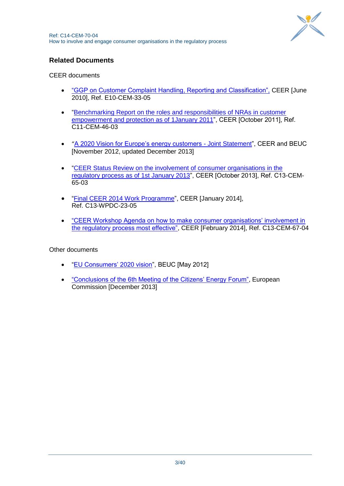

# **Related Documents**

CEER documents

- ["GGP on Customer Complaint Handling, Reporting and Classification",](http://www.ceer.eu/portal/page/portal/EER_HOME/EER_PUBLICATIONS/CEER_PAPERS/Customers/Tab1/E10-CEM-33-05_GGP-ComplaintHandling_10-Jun-2010.pdf) CEER [June 2010], Ref. E10-CEM-33-05
- ["Benchmarking Report on the roles and responsibilities of NRAs in customer](http://www.energy-regulators.eu/portal/page/portal/EER_HOME/EER_PUBLICATIONS/CEER_PAPERS/Customers/Tab2/C11-CEM-46-03_BR-Roles-Resp-NRAs_11-Oct-2011.pdf)  [empowerment and protection as of 1January 2011"](http://www.energy-regulators.eu/portal/page/portal/EER_HOME/EER_PUBLICATIONS/CEER_PAPERS/Customers/Tab2/C11-CEM-46-03_BR-Roles-Resp-NRAs_11-Oct-2011.pdf), CEER [October 2011], Ref. C11-CEM-46-03
- "[A 2020 Vision for Europe"s energy customers -](http://www.ceer.eu/portal/page/portal/EER_HOME/EER_PUBLICATIONS/CEER_PAPERS/Customers/Tab3/CEER-BEUC%202020%20VISION-joint%20statement_Long_v121213.pdf) Joint Statement", CEER and BEUC [November 2012, updated December 2013]
- ["CEER Status Review on the involvement of consumer organisations in the](http://www.ceer.eu/portal/page/portal/EER_HOME/EER_PUBLICATIONS/CEER_PAPERS/Customers/2013/C13-CEM-65-03_SR%20on%20involvement%20of%20consumer%20organisations%20in%20the%20regulatory%20process.pdf)  [regulatory process as of 1st January 2013"](http://www.ceer.eu/portal/page/portal/EER_HOME/EER_PUBLICATIONS/CEER_PAPERS/Customers/2013/C13-CEM-65-03_SR%20on%20involvement%20of%20consumer%20organisations%20in%20the%20regulatory%20process.pdf), CEER [October 2013], Ref. C13-CEM-65-03
- ["Final CEER 2014 Work Programme"](http://www.ceer.eu/portal/page/portal/EER_HOME/EER_PUBLICATIONS/Work_Programmes/2012/C13-WPDC-23-05_public%20WP%202014_24-Sep-2013_updated.pdf), CEER [January 2014], Ref. C13-WPDC-23-05
- "CEER Workshop Agenda on how to make consumer organisations' involvement in [the regulatory process most effective",](http://www.ceer.eu/portal/page/portal/EER_HOME/EER_WORKSHOP/CEER-ERGEG%20EVENTS/CUSTOMERS/WS_on_involvement_of_consumer_organisations/Information/C13-CEM-67-04_Agenda_v6.pdf) CEER [February 2014], Ref. C13-CEM-67-04

Other documents

- ["EU Consumers" 2020 vision"](http://www.beuc.eu/publications/2012-00316-01-e.pdf), BEUC [May 2012]
- ["Conclusions of the 6th Meeting of the Citizens" Energy Forum",](http://ec.europa.eu/energy/gas_electricity/forum_citizen_energy_en.htm) European Commission [December 2013]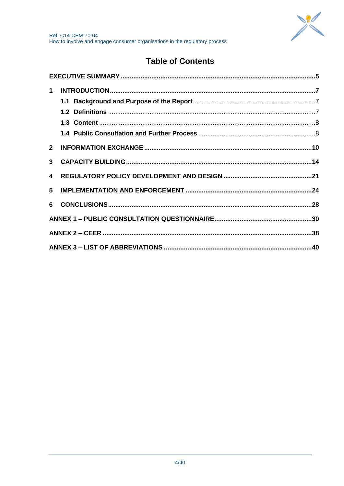

# **Table of Contents**

| 3 <sup>1</sup> |  |
|----------------|--|
|                |  |
| 5              |  |
|                |  |
|                |  |
|                |  |
|                |  |
|                |  |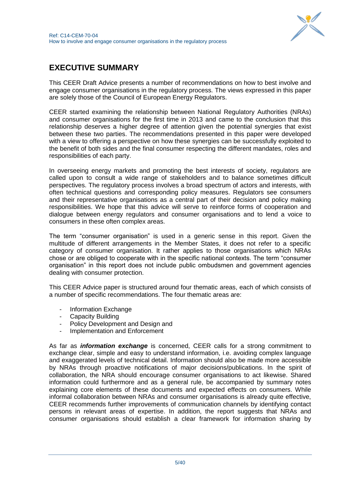

# <span id="page-4-0"></span>**EXECUTIVE SUMMARY**

This CEER Draft Advice presents a number of recommendations on how to best involve and engage consumer organisations in the regulatory process. The views expressed in this paper are solely those of the Council of European Energy Regulators.

CEER started examining the relationship between National Regulatory Authorities (NRAs) and consumer organisations for the first time in 2013 and came to the conclusion that this relationship deserves a higher degree of attention given the potential synergies that exist between these two parties. The recommendations presented in this paper were developed with a view to offering a perspective on how these synergies can be successfully exploited to the benefit of both sides and the final consumer respecting the different mandates, roles and responsibilities of each party.

In overseeing energy markets and promoting the best interests of society, regulators are called upon to consult a wide range of stakeholders and to balance sometimes difficult perspectives. The regulatory process involves a broad spectrum of actors and interests, with often technical questions and corresponding policy measures. Regulators see consumers and their representative organisations as a central part of their decision and policy making responsibilities. We hope that this advice will serve to reinforce forms of cooperation and dialogue between energy regulators and consumer organisations and to lend a voice to consumers in these often complex areas.

The term "consumer organisation" is used in a generic sense in this report. Given the multitude of different arrangements in the Member States, it does not refer to a specific category of consumer organisation. It rather applies to those organisations which NRAs chose or are obliged to cooperate with in the specific national contexts. The term "consumer organisation" in this report does not include public ombudsmen and government agencies dealing with consumer protection.

This CEER Advice paper is structured around four thematic areas, each of which consists of a number of specific recommendations. The four thematic areas are:

- Information Exchange
- Capacity Building
- Policy Development and Design and
- Implementation and Enforcement

As far as *information exchange* is concerned, CEER calls for a strong commitment to exchange clear, simple and easy to understand information, i.e. avoiding complex language and exaggerated levels of technical detail. Information should also be made more accessible by NRAs through proactive notifications of major decisions/publications. In the spirit of collaboration, the NRA should encourage consumer organisations to act likewise. Shared information could furthermore and as a general rule, be accompanied by summary notes explaining core elements of these documents and expected effects on consumers. While informal collaboration between NRAs and consumer organisations is already quite effective, CEER recommends further improvements of communication channels by identifying contact persons in relevant areas of expertise. In addition, the report suggests that NRAs and consumer organisations should establish a clear framework for information sharing by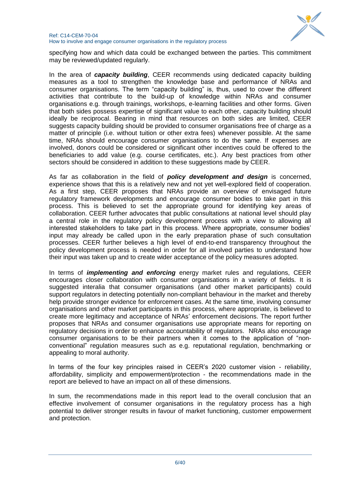

specifying how and which data could be exchanged between the parties. This commitment may be reviewed/updated regularly.

In the area of *capacity building*, CEER recommends using dedicated capacity building measures as a tool to strengthen the knowledge base and performance of NRAs and consumer organisations. The term "capacity building" is, thus, used to cover the different activities that contribute to the build-up of knowledge within NRAs and consumer organisations e.g. through trainings, workshops, e-learning facilities and other forms. Given that both sides possess expertise of significant value to each other, capacity building should ideally be reciprocal. Bearing in mind that resources on both sides are limited, CEER suggests capacity building should be provided to consumer organisations free of charge as a matter of principle (i.e. without tuition or other extra fees) whenever possible. At the same time, NRAs should encourage consumer organisations to do the same. If expenses are involved, donors could be considered or significant other incentives could be offered to the beneficiaries to add value (e.g. course certificates, etc.). Any best practices from other sectors should be considered in addition to these suggestions made by CEER.

As far as collaboration in the field of *policy development and design* is concerned, experience shows that this is a relatively new and not yet well-explored field of cooperation. As a first step, CEER proposes that NRAs provide an overview of envisaged future regulatory framework developments and encourage consumer bodies to take part in this process. This is believed to set the appropriate ground for identifying key areas of collaboration. CEER further advocates that public consultations at national level should play a central role in the regulatory policy development process with a view to allowing all interested stakeholders to take part in this process. Where appropriate, consumer bodies" input may already be called upon in the early preparation phase of such consultation processes. CEER further believes a high level of end-to-end transparency throughout the policy development process is needed in order for all involved parties to understand how their input was taken up and to create wider acceptance of the policy measures adopted.

In terms of *implementing and enforcing* energy market rules and regulations, CEER encourages closer collaboration with consumer organisations in a variety of fields. It is suggested interalia that consumer organisations (and other market participants) could support regulators in detecting potentially non-compliant behaviour in the market and thereby help provide stronger evidence for enforcement cases. At the same time, involving consumer organisations and other market participants in this process, where appropriate, is believed to create more legitimacy and acceptance of NRAs" enforcement decisions. The report further proposes that NRAs and consumer organisations use appropriate means for reporting on regulatory decisions in order to enhance accountability of regulators. NRAs also encourage consumer organisations to be their partners when it comes to the application of "nonconventional" regulation measures such as e.g. reputational regulation, benchmarking or appealing to moral authority.

In terms of the four key principles raised in CEER's 2020 customer vision - reliability, affordability, simplicity and empowerment/protection - the recommendations made in the report are believed to have an impact on all of these dimensions.

In sum, the recommendations made in this report lead to the overall conclusion that an effective involvement of consumer organisations in the regulatory process has a high potential to deliver stronger results in favour of market functioning, customer empowerment and protection.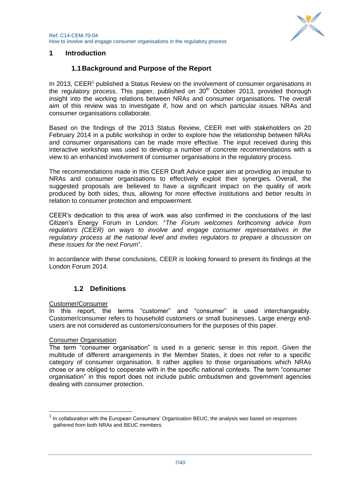

# <span id="page-6-1"></span><span id="page-6-0"></span>**1 Introduction**

# **1.1Background and Purpose of the Report**

In 2013, CEER<sup>1</sup> published a Status Review on the involvement of consumer organisations in the regulatory process. This paper, published on  $30<sup>th</sup>$  October 2013, provided thorough insight into the working relations between NRAs and consumer organisations. The overall aim of this review was to investigate if, how and on which particular issues NRAs and consumer organisations collaborate.

Based on the findings of the 2013 Status Review, CEER met with stakeholders on 20 February 2014 in a public workshop in order to explore how the relationship between NRAs and consumer organisations can be made more effective. The input received during this interactive workshop was used to develop a number of concrete recommendations with a view to an enhanced involvement of consumer organisations in the regulatory process.

The recommendations made in this CEER Draft Advice paper aim at providing an impulse to NRAs and consumer organisations to effectively exploit their synergies. Overall, the suggested proposals are believed to have a significant impact on the quality of work produced by both sides, thus, allowing for more effective institutions and better results in relation to consumer protection and empowerment.

CEER"s dedication to this area of work was also confirmed in the conclusions of the last Citizen"s Energy Forum in London: "*The Forum welcomes forthcoming advice from regulators (CEER) on ways to involve and engage consumer representatives in the regulatory process at the national level and invites regulators to prepare a discussion on these issues for the next Forum*".

In accordance with these conclusions, CEER is looking forward to present its findings at the London Forum 2014.

# **1.2 Definitions**

# <span id="page-6-2"></span>Customer/Consumer

In this report, the terms "customer" and "consumer" is used interchangeably. Customer/consumer refers to household customers or small businesses. Large energy endusers are not considered as customers/consumers for the purposes of this paper.

# Consumer Organisation

-

The term "consumer organisation" is used in a generic sense in this report. Given the multitude of different arrangements in the Member States, it does not refer to a specific category of consumer organisation. It rather applies to those organisations which NRAs chose or are obliged to cooperate with in the specific national contexts. The term "consumer organisation" in this report does not include public ombudsmen and government agencies dealing with consumer protection.

 $<sup>1</sup>$  In collaboration with the European Consumers' Organisation BEUC; the analysis was based on responses</sup> gathered from both NRAs and BEUC members.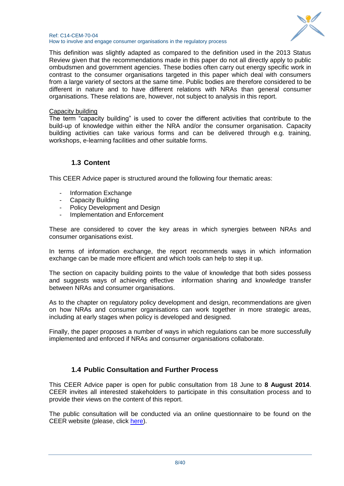

#### Ref: C14-CEM-70-04 How to involve and engage consumer organisations in the regulatory process

This definition was slightly adapted as compared to the definition used in the 2013 Status Review given that the recommendations made in this paper do not all directly apply to public ombudsmen and government agencies. These bodies often carry out energy specific work in contrast to the consumer organisations targeted in this paper which deal with consumers from a large variety of sectors at the same time. Public bodies are therefore considered to be different in nature and to have different relations with NRAs than general consumer organisations. These relations are, however, not subject to analysis in this report.

#### Capacity building

The term "capacity building" is used to cover the different activities that contribute to the build-up of knowledge within either the NRA and/or the consumer organisation. Capacity building activities can take various forms and can be delivered through e.g. training, workshops, e-learning facilities and other suitable forms.

# <span id="page-7-0"></span>**1.3 Content**

This CEER Advice paper is structured around the following four thematic areas:

- Information Exchange
- Capacity Building
- Policy Development and Design
- Implementation and Enforcement

These are considered to cover the key areas in which synergies between NRAs and consumer organisations exist.

In terms of information exchange, the report recommends ways in which information exchange can be made more efficient and which tools can help to step it up.

The section on capacity building points to the value of knowledge that both sides possess and suggests ways of achieving effective information sharing and knowledge transfer between NRAs and consumer organisations.

As to the chapter on regulatory policy development and design, recommendations are given on how NRAs and consumer organisations can work together in more strategic areas, including at early stages when policy is developed and designed.

Finally, the paper proposes a number of ways in which regulations can be more successfully implemented and enforced if NRAs and consumer organisations collaborate.

# <span id="page-7-1"></span>**1.4 Public Consultation and Further Process**

This CEER Advice paper is open for public consultation from 18 June to **8 August 2014**. CEER invites all interested stakeholders to participate in this consultation process and to provide their views on the content of this report.

The public consultation will be conducted via an online questionnaire to be found on the CEER website (please, click [here\)](http://www.ceer.eu/portal/page/portal/EER_HOME/EER_CONSULT/OPEN%20PUBLIC%20CONSULTATIONS/PC_Involvement/Tab).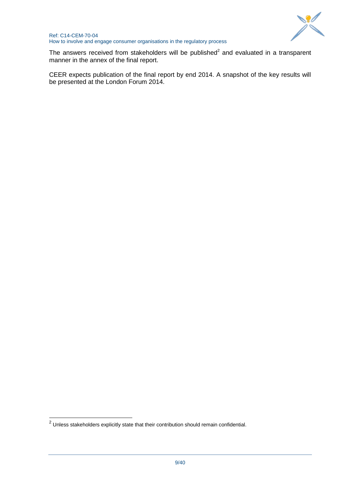

The answers received from stakeholders will be published<sup>2</sup> and evaluated in a transparent manner in the annex of the final report.

CEER expects publication of the final report by end 2014. A snapshot of the key results will be presented at the London Forum 2014.

 2 Unless stakeholders explicitly state that their contribution should remain confidential.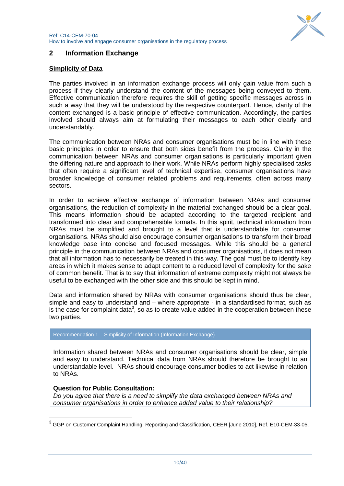

# <span id="page-9-0"></span>**2 Information Exchange**

# **Simplicity of Data**

The parties involved in an information exchange process will only gain value from such a process if they clearly understand the content of the messages being conveyed to them. Effective communication therefore requires the skill of getting specific messages across in such a way that they will be understood by the respective counterpart. Hence, clarity of the content exchanged is a basic principle of effective communication. Accordingly, the parties involved should always aim at formulating their messages to each other clearly and understandably.

The communication between NRAs and consumer organisations must be in line with these basic principles in order to ensure that both sides benefit from the process. Clarity in the communication between NRAs and consumer organisations is particularly important given the differing nature and approach to their work. While NRAs perform highly specialised tasks that often require a significant level of technical expertise, consumer organisations have broader knowledge of consumer related problems and requirements, often across many sectors.

In order to achieve effective exchange of information between NRAs and consumer organisations, the reduction of complexity in the material exchanged should be a clear goal. This means information should be adapted according to the targeted recipient and transformed into clear and comprehensible formats. In this spirit, technical information from NRAs must be simplified and brought to a level that is understandable for consumer organisations. NRAs should also encourage consumer organisations to transform their broad knowledge base into concise and focused messages. While this should be a general principle in the communication between NRAs and consumer organisations, it does not mean that all information has to necessarily be treated in this way. The goal must be to identify key areas in which it makes sense to adapt content to a reduced level of complexity for the sake of common benefit. That is to say that information of extreme complexity might not always be useful to be exchanged with the other side and this should be kept in mind.

Data and information shared by NRAs with consumer organisations should thus be clear, simple and easy to understand and – where appropriate - in a standardised format, such as is the case for complaint data<sup>3</sup>, so as to create value added in the cooperation between these two parties.

#### Recommendation 1 – Simplicity of Information (Information Exchange)

Information shared between NRAs and consumer organisations should be clear, simple and easy to understand. Technical data from NRAs should therefore be brought to an understandable level. NRAs should encourage consumer bodies to act likewise in relation to NRAs.

# **Question for Public Consultation:**

1

*Do you agree that there is a need to simplify the data exchanged between NRAs and consumer organisations in order to enhance added value to their relationship?* 

<sup>&</sup>lt;sup>3</sup> GGP on Customer Complaint Handling, Reporting and Classification, CEER [June 2010], Ref. E10-CEM-33-05.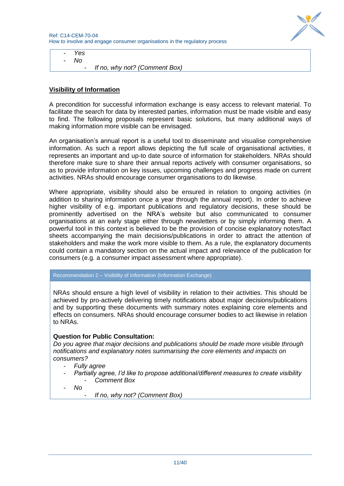

- *Yes* - *No*

- *If no, why not? (Comment Box)*

# **Visibility of Information**

A precondition for successful information exchange is easy access to relevant material. To facilitate the search for data by interested parties, information must be made visible and easy to find. The following proposals represent basic solutions, but many additional ways of making information more visible can be envisaged.

An organisation"s annual report is a useful tool to disseminate and visualise comprehensive information. As such a report allows depicting the full scale of organisational activities, it represents an important and up-to date source of information for stakeholders. NRAs should therefore make sure to share their annual reports actively with consumer organisations, so as to provide information on key issues, upcoming challenges and progress made on current activities. NRAs should encourage consumer organisations to do likewise.

Where appropriate, visibility should also be ensured in relation to ongoing activities (in addition to sharing information once a year through the annual report). In order to achieve higher visibility of e.g. important publications and regulatory decisions, these should be prominently advertised on the NRA"s website but also communicated to consumer organisations at an early stage either through newsletters or by simply informing them. A powerful tool in this context is believed to be the provision of concise explanatory notes/fact sheets accompanying the main decisions/publications in order to attract the attention of stakeholders and make the work more visible to them. As a rule, the explanatory documents could contain a mandatory section on the actual impact and relevance of the publication for consumers (e.g. a consumer impact assessment where appropriate).

#### Recommendation 2 – Visibility of Information (Information Exchange)

NRAs should ensure a high level of visibility in relation to their activities. This should be achieved by pro-actively delivering timely notifications about major decisions/publications and by supporting these documents with summary notes explaining core elements and effects on consumers. NRAs should encourage consumer bodies to act likewise in relation to NRAs.

# **Question for Public Consultation:**

*Do you agree that major decisions and publications should be made more visible through notifications and explanatory notes summarising the core elements and impacts on consumers?* 

- *Fully agree*
- *Partially agree, I'd like to propose additional/different measures to create visibility* - *Comment Box*
- *No*
	- *If no, why not? (Comment Box)*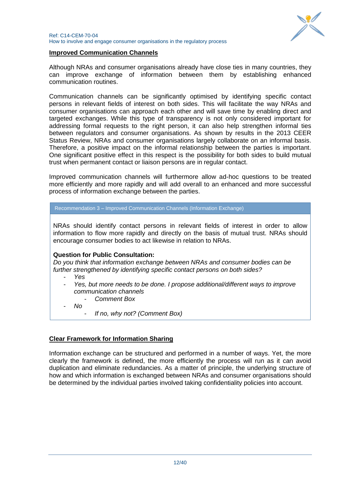

#### **Improved Communication Channels**

Although NRAs and consumer organisations already have close ties in many countries, they can improve exchange of information between them by establishing enhanced communication routines.

Communication channels can be significantly optimised by identifying specific contact persons in relevant fields of interest on both sides. This will facilitate the way NRAs and consumer organisations can approach each other and will save time by enabling direct and targeted exchanges. While this type of transparency is not only considered important for addressing formal requests to the right person, it can also help strengthen informal ties between regulators and consumer organisations. As shown by results in the 2013 CEER Status Review, NRAs and consumer organisations largely collaborate on an informal basis. Therefore, a positive impact on the informal relationship between the parties is important. One significant positive effect in this respect is the possibility for both sides to build mutual trust when permanent contact or liaison persons are in regular contact.

Improved communication channels will furthermore allow ad-hoc questions to be treated more efficiently and more rapidly and will add overall to an enhanced and more successful process of information exchange between the parties.

Recommendation 3 – Improved Communication Channels (Information Exchange)

NRAs should identify contact persons in relevant fields of interest in order to allow information to flow more rapidly and directly on the basis of mutual trust. NRAs should encourage consumer bodies to act likewise in relation to NRAs.

# **Question for Public Consultation:**

*Do you think that information exchange between NRAs and consumer bodies can be further strengthened by identifying specific contact persons on both sides?* 

- *Yes*
- *Yes, but more needs to be done. I propose additional/different ways to improve communication channels*
	- *Comment Box*
- *No*
	- *If no, why not? (Comment Box)*

# **Clear Framework for Information Sharing**

Information exchange can be structured and performed in a number of ways. Yet, the more clearly the framework is defined, the more efficiently the process will run as it can avoid duplication and eliminate redundancies. As a matter of principle, the underlying structure of how and which information is exchanged between NRAs and consumer organisations should be determined by the individual parties involved taking confidentiality policies into account.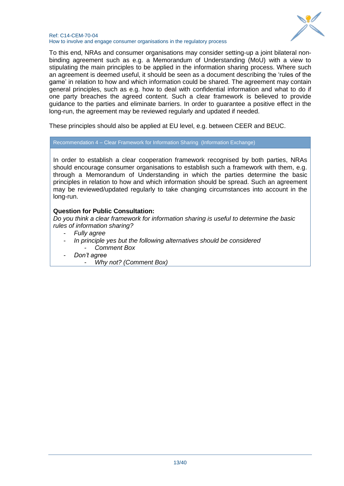

#### Ref: C14-CEM-70-04 How to involve and engage consumer organisations in the regulatory process

To this end, NRAs and consumer organisations may consider setting-up a joint bilateral nonbinding agreement such as e.g. a Memorandum of Understanding (MoU) with a view to stipulating the main principles to be applied in the information sharing process. Where such an agreement is deemed useful, it should be seen as a document describing the "rules of the game' in relation to how and which information could be shared. The agreement may contain general principles, such as e.g. how to deal with confidential information and what to do if one party breaches the agreed content. Such a clear framework is believed to provide guidance to the parties and eliminate barriers. In order to guarantee a positive effect in the long-run, the agreement may be reviewed regularly and updated if needed.

These principles should also be applied at EU level, e.g. between CEER and BEUC.

Recommendation 4 – Clear Framework for Information Sharing (Information Exchange)

In order to establish a clear cooperation framework recognised by both parties, NRAs should encourage consumer organisations to establish such a framework with them, e.g. through a Memorandum of Understanding in which the parties determine the basic principles in relation to how and which information should be spread. Such an agreement may be reviewed/updated regularly to take changing circumstances into account in the long-run.

# **Question for Public Consultation:**

*Do you think a clear framework for information sharing is useful to determine the basic rules of information sharing?*

- *Fully agree*
- *In principle yes but the following alternatives should be considered* - *Comment Box*
- *Don't agree*
	- *Why not? (Comment Box)*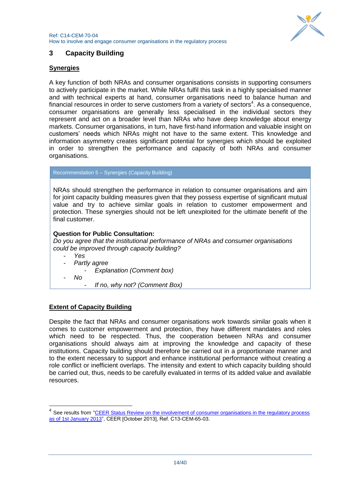

# <span id="page-13-0"></span>**3 Capacity Building**

# **Synergies**

A key function of both NRAs and consumer organisations consists in supporting consumers to actively participate in the market. While NRAs fulfil this task in a highly specialised manner and with technical experts at hand, consumer organisations need to balance human and financial resources in order to serve customers from a variety of sectors<sup>4</sup>. As a consequence, consumer organisations are generally less specialised in the individual sectors they represent and act on a broader level than NRAs who have deep knowledge about energy markets. Consumer organisations, in turn, have first-hand information and valuable insight on customers" needs which NRAs might not have to the same extent. This knowledge and information asymmetry creates significant potential for synergies which should be exploited in order to strengthen the performance and capacity of both NRAs and consumer organisations.

Recommendation 5 – Synergies (Capacity Building)

NRAs should strengthen the performance in relation to consumer organisations and aim for joint capacity building measures given that they possess expertise of significant mutual value and try to achieve similar goals in relation to customer empowerment and protection. These synergies should not be left unexploited for the ultimate benefit of the final customer.

# **Question for Public Consultation:**

*Do you agree that the institutional performance of NRAs and consumer organisations could be improved through capacity building?*

- *Yes*
- *Partly agree*
	- *Explanation (Comment box)*
- *No*

1

- *If no, why not? (Comment Box)*

# **Extent of Capacity Building**

Despite the fact that NRAs and consumer organisations work towards similar goals when it comes to customer empowerment and protection, they have different mandates and roles which need to be respected. Thus, the cooperation between NRAs and consumer organisations should always aim at improving the knowledge and capacity of these institutions. Capacity building should therefore be carried out in a proportionate manner and to the extent necessary to support and enhance institutional performance without creating a role conflict or inefficient overlaps. The intensity and extent to which capacity building should be carried out, thus, needs to be carefully evaluated in terms of its added value and available resources.

<sup>4</sup> See results from "CEER Status Review on the involvement of consumer organisations in the regulatory process [as of 1st January 2013"](http://www.ceer.eu/portal/page/portal/EER_HOME/EER_PUBLICATIONS/CEER_PAPERS/Customers/2013/C13-CEM-65-03_SR%20on%20involvement%20of%20consumer%20organisations%20in%20the%20regulatory%20process.pdf), CEER [October 2013], Ref. C13-CEM-65-03.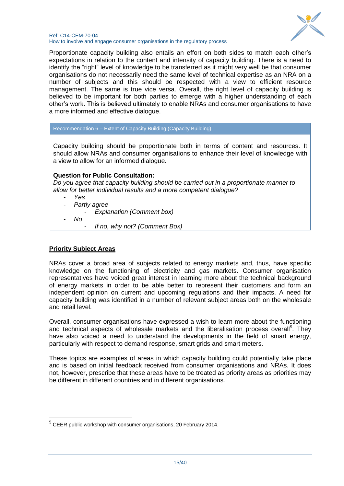

#### Ref: C14-CEM-70-04 How to involve and engage consumer organisations in the regulatory process

Proportionate capacity building also entails an effort on both sides to match each other"s expectations in relation to the content and intensity of capacity building. There is a need to identify the "right" level of knowledge to be transferred as it might very well be that consumer organisations do not necessarily need the same level of technical expertise as an NRA on a number of subjects and this should be respected with a view to efficient resource management. The same is true vice versa. Overall, the right level of capacity building is believed to be important for both parties to emerge with a higher understanding of each other"s work. This is believed ultimately to enable NRAs and consumer organisations to have a more informed and effective dialogue.

#### Recommendation 6 – Extent of Capacity Building (Capacity Building)

Capacity building should be proportionate both in terms of content and resources. It should allow NRAs and consumer organisations to enhance their level of knowledge with a view to allow for an informed dialogue.

# **Question for Public Consultation:**

*Do you agree that capacity building should be carried out in a proportionate manner to allow for better individual results and a more competent dialogue?*

- *Yes*
- *Partly agree*
	- *Explanation (Comment box)*
- *No*

1

- *If no, why not? (Comment Box)*

# **Priority Subject Areas**

NRAs cover a broad area of subjects related to energy markets and, thus, have specific knowledge on the functioning of electricity and gas markets. Consumer organisation representatives have voiced great interest in learning more about the technical background of energy markets in order to be able better to represent their customers and form an independent opinion on current and upcoming regulations and their impacts. A need for capacity building was identified in a number of relevant subject areas both on the wholesale and retail level.

Overall, consumer organisations have expressed a wish to learn more about the functioning and technical aspects of wholesale markets and the liberalisation process overall<sup>5</sup>. They have also voiced a need to understand the developments in the field of smart energy, particularly with respect to demand response, smart grids and smart meters.

These topics are examples of areas in which capacity building could potentially take place and is based on initial feedback received from consumer organisations and NRAs. It does not, however, prescribe that these areas have to be treated as priority areas as priorities may be different in different countries and in different organisations.

<sup>&</sup>lt;sup>5</sup> CEER public workshop with consumer organisations, 20 February 2014.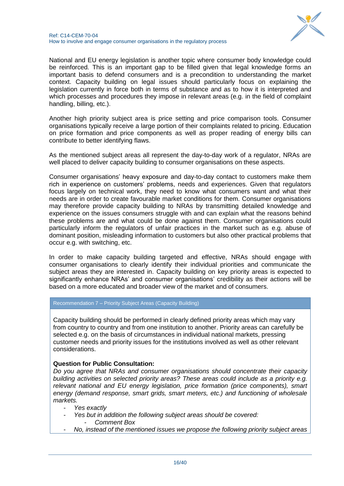

National and EU energy legislation is another topic where consumer body knowledge could be reinforced. This is an important gap to be filled given that legal knowledge forms an important basis to defend consumers and is a precondition to understanding the market context. Capacity building on legal issues should particularly focus on explaining the legislation currently in force both in terms of substance and as to how it is interpreted and which processes and procedures they impose in relevant areas (e.g. in the field of complaint handling, billing, etc.).

Another high priority subject area is price setting and price comparison tools. Consumer organisations typically receive a large portion of their complaints related to pricing. Education on price formation and price components as well as proper reading of energy bills can contribute to better identifying flaws.

As the mentioned subject areas all represent the day-to-day work of a regulator, NRAs are well placed to deliver capacity building to consumer organisations on these aspects.

Consumer organisations" heavy exposure and day-to-day contact to customers make them rich in experience on customers' problems, needs and experiences. Given that regulators focus largely on technical work, they need to know what consumers want and what their needs are in order to create favourable market conditions for them. Consumer organisations may therefore provide capacity building to NRAs by transmitting detailed knowledge and experience on the issues consumers struggle with and can explain what the reasons behind these problems are and what could be done against them. Consumer organisations could particularly inform the regulators of unfair practices in the market such as e.g. abuse of dominant position, misleading information to customers but also other practical problems that occur e.g. with switching, etc.

In order to make capacity building targeted and effective, NRAs should engage with consumer organisations to clearly identify their individual priorities and communicate the subject areas they are interested in. Capacity building on key priority areas is expected to significantly enhance NRAs' and consumer organisations' credibility as their actions will be based on a more educated and broader view of the market and of consumers.

#### Recommendation 7 – Priority Subject Areas (Capacity Building)

Capacity building should be performed in clearly defined priority areas which may vary from country to country and from one institution to another. Priority areas can carefully be selected e.g. on the basis of circumstances in individual national markets, pressing customer needs and priority issues for the institutions involved as well as other relevant considerations.

#### **Question for Public Consultation:**

*Do you agree that NRAs and consumer organisations should concentrate their capacity building activities on selected priority areas? These areas could include as a priority e.g. relevant national and EU energy legislation, price formation (price components), smart energy (demand response, smart grids, smart meters, etc.) and functioning of wholesale markets.*

- *Yes exactly*
- *Yes but in addition the following subject areas should be covered:* - *Comment Box*
- *No, instead of the mentioned issues we propose the following priority subject areas*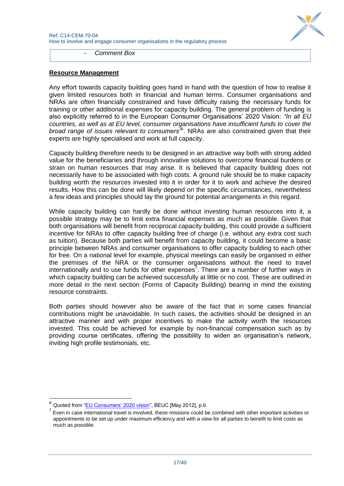

- *Comment Box*

#### **Resource Management**

Any effort towards capacity building goes hand in hand with the question of how to realise it given limited resources both in financial and human terms. Consumer organisations and NRAs are often financially constrained and have difficulty raising the necessary funds for training or other additional expenses for capacity building. The general problem of funding is also explicitly referred to in the European Consumer Organisations" 2020 Vision: *"In all EU countries, as well as at EU level, consumer organisations have insufficient funds to cover the broad range of issues relevant to consumers"*<sup>6</sup> . NRAs are also constrained given that their experts are highly specialised and work at full capacity.

Capacity building therefore needs to be designed in an attractive way both with strong added value for the beneficiaries and through innovative solutions to overcome financial burdens or strain on human resources that may arise. It is believed that capacity building does not necessarily have to be associated with high costs. A ground rule should be to make capacity building worth the resources invested into it in order for it to work and achieve the desired results. How this can be done will likely depend on the specific circumstances, nevertheless a few ideas and principles should lay the ground for potential arrangements in this regard.

While capacity building can hardly be done without investing human resources into it, a possible strategy may be to limit extra financial expenses as much as possible. Given that both organisations will benefit from reciprocal capacity building, this could provide a sufficient incentive for NRAs to offer capacity building free of charge (i.e. without any extra cost such as tuition). Because both parties will benefit from capacity building, it could become a basic principle between NRAs and consumer organisations to offer capacity building to each other for free. On a national level for example, physical meetings can easily be organised in either the premises of the NRA or the consumer organisations without the need to travel internationally and to use funds for other expenses<sup>7</sup>. There are a number of further ways in which capacity building can be achieved successfully at little or no cost. These are outlined in more detail in the next section (Forms of Capacity Building) bearing in mind the existing resource constraints.

Both parties should however also be aware of the fact that in some cases financial contributions might be unavoidable. In such cases, the activities should be designed in an attractive manner and with proper incentives to make the activity worth the resources invested. This could be achieved for example by non-financial compensation such as by providing course certificates, offering the possibility to widen an organisation"s network, inviting high profile testimonials, etc.

1

Quoted from "EU Consumers' 2020 vision", BEUC [May 2012], p.6.

 $<sup>7</sup>$  Even in case international travel is involved, these missions could be combined with other important activities or</sup> appointments to be set up under maximum efficiency and with a view for all parties to benefit to limit costs as much as possible.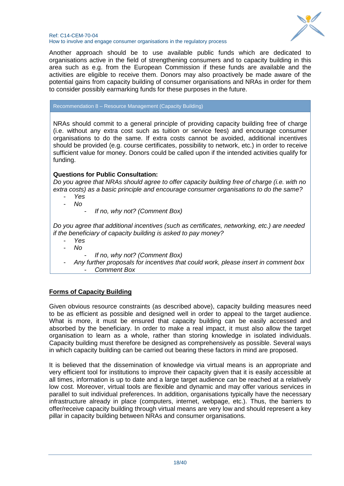

#### Ref: C14-CEM-70-04 How to involve and engage consumer organisations in the regulatory process

Another approach should be to use available public funds which are dedicated to organisations active in the field of strengthening consumers and to capacity building in this area such as e.g. from the European Commission if these funds are available and the activities are eligible to receive them. Donors may also proactively be made aware of the potential gains from capacity building of consumer organisations and NRAs in order for them to consider possibly earmarking funds for these purposes in the future.

Recommendation 8 – Resource Management (Capacity Building)

NRAs should commit to a general principle of providing capacity building free of charge (i.e. without any extra cost such as tuition or service fees) and encourage consumer organisations to do the same. If extra costs cannot be avoided, additional incentives should be provided (e.g. course certificates, possibility to network, etc.) in order to receive sufficient value for money. Donors could be called upon if the intended activities qualify for funding.

# **Questions for Public Consultation:**

*Do you agree that NRAs should agree to offer capacity building free of charge (i.e. with no extra costs) as a basic principle and encourage consumer organisations to do the same?*  - *Yes*

- *No*
- *If no, why not? (Comment Box)*

*Do you agree that additional incentives (such as certificates, networking, etc.) are needed if the beneficiary of capacity building is asked to pay money?*

- *Yes*
- *No*
	- *If no, why not? (Comment Box)*
- *Any further proposals for incentives that could work, please insert in comment box* - *Comment Box*

# **Forms of Capacity Building**

Given obvious resource constraints (as described above), capacity building measures need to be as efficient as possible and designed well in order to appeal to the target audience. What is more, it must be ensured that capacity building can be easily accessed and absorbed by the beneficiary. In order to make a real impact, it must also allow the target organisation to learn as a whole, rather than storing knowledge in isolated individuals. Capacity building must therefore be designed as comprehensively as possible. Several ways in which capacity building can be carried out bearing these factors in mind are proposed.

It is believed that the dissemination of knowledge via virtual means is an appropriate and very efficient tool for institutions to improve their capacity given that it is easily accessible at all times, information is up to date and a large target audience can be reached at a relatively low cost. Moreover, virtual tools are flexible and dynamic and may offer various services in parallel to suit individual preferences. In addition, organisations typically have the necessary infrastructure already in place (computers, internet, webpage, etc.). Thus, the barriers to offer/receive capacity building through virtual means are very low and should represent a key pillar in capacity building between NRAs and consumer organisations.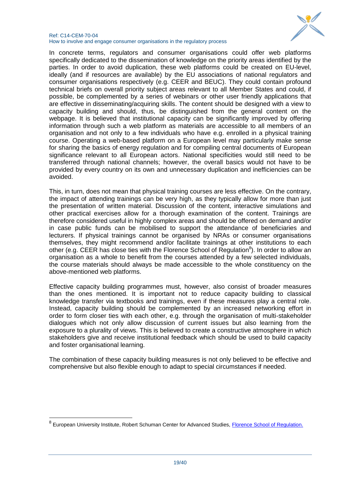

#### Ref: C14-CEM-70-04 How to involve and engage consumer organisations in the regulatory process

In concrete terms, regulators and consumer organisations could offer web platforms specifically dedicated to the dissemination of knowledge on the priority areas identified by the parties. In order to avoid duplication, these web platforms could be created on EU-level, ideally (and if resources are available) by the EU associations of national regulators and consumer organisations respectively (e.g. CEER and BEUC). They could contain profound technical briefs on overall priority subject areas relevant to all Member States and could, if possible, be complemented by a series of webinars or other user friendly applications that are effective in disseminating/acquiring skills. The content should be designed with a view to capacity building and should, thus, be distinguished from the general content on the webpage. It is believed that institutional capacity can be significantly improved by offering information through such a web platform as materials are accessible to all members of an organisation and not only to a few individuals who have e.g. enrolled in a physical training course. Operating a web-based platform on a European level may particularly make sense for sharing the basics of energy regulation and for compiling central documents of European significance relevant to all European actors. National specificities would still need to be transferred through national channels; however, the overall basics would not have to be provided by every country on its own and unnecessary duplication and inefficiencies can be avoided.

This, in turn, does not mean that physical training courses are less effective. On the contrary, the impact of attending trainings can be very high, as they typically allow for more than just the presentation of written material. Discussion of the content, interactive simulations and other practical exercises allow for a thorough examination of the content. Trainings are therefore considered useful in highly complex areas and should be offered on demand and/or in case public funds can be mobilised to support the attendance of beneficiaries and lecturers. If physical trainings cannot be organised by NRAs or consumer organisations themselves, they might recommend and/or facilitate trainings at other institutions to each other (e.g. CEER has close ties with the Florence School of Regulation<sup>8</sup>). In order to allow an organisation as a whole to benefit from the courses attended by a few selected individuals, the course materials should always be made accessible to the whole constituency on the above-mentioned web platforms.

Effective capacity building programmes must, however, also consist of broader measures than the ones mentioned. It is important not to reduce capacity building to classical knowledge transfer via textbooks and trainings, even if these measures play a central role. Instead, capacity building should be complemented by an increased networking effort in order to form closer ties with each other, e.g. through the organisation of multi-stakeholder dialogues which not only allow discussion of current issues but also learning from the exposure to a plurality of views. This is believed to create a constructive atmosphere in which stakeholders give and receive institutional feedback which should be used to build capacity and foster organisational learning.

The combination of these capacity building measures is not only believed to be effective and comprehensive but also flexible enough to adapt to special circumstances if needed.

1

<sup>&</sup>lt;sup>8</sup> European University Institute, Robert Schuman Center for Advanced Studies, *Florence School of Regulation*.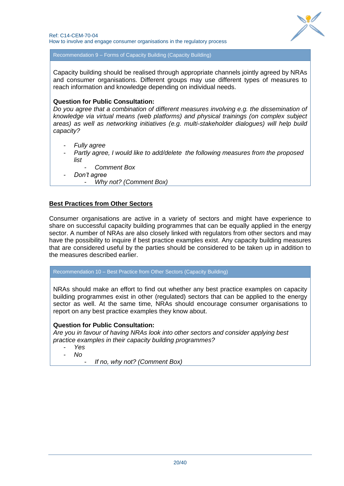

Recommendation 9 – Forms of Capacity Building (Capacity Building)

Capacity building should be realised through appropriate channels jointly agreed by NRAs and consumer organisations. Different groups may use different types of measures to reach information and knowledge depending on individual needs.

#### **Question for Public Consultation:**

*Do you agree that a combination of different measures involving e.g. the dissemination of knowledge via virtual means (web platforms) and physical trainings (on complex subject areas) as well as networking initiatives (e.g. multi-stakeholder dialogues) will help build capacity?*

- *Fully agree*
- Partly agree, I would like to add/delete the following measures from the proposed *list*
	- *Comment Box*
	- *Don't agree*
		- *Why not? (Comment Box)*

#### **Best Practices from Other Sectors**

Consumer organisations are active in a variety of sectors and might have experience to share on successful capacity building programmes that can be equally applied in the energy sector. A number of NRAs are also closely linked with regulators from other sectors and may have the possibility to inquire if best practice examples exist. Any capacity building measures that are considered useful by the parties should be considered to be taken up in addition to the measures described earlier.

Recommendation 10 – Best Practice from Other Sectors (Capacity Building)

NRAs should make an effort to find out whether any best practice examples on capacity building programmes exist in other (regulated) sectors that can be applied to the energy sector as well. At the same time, NRAs should encourage consumer organisations to report on any best practice examples they know about.

# **Question for Public Consultation:**

*Are you in favour of having NRAs look into other sectors and consider applying best practice examples in their capacity building programmes?* 

- *Yes*

- *No*

- *If no, why not? (Comment Box)*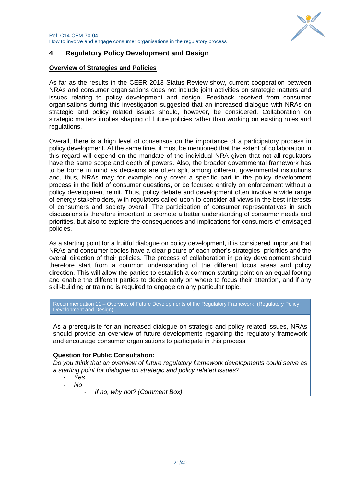

# <span id="page-20-0"></span>**4 Regulatory Policy Development and Design**

# **Overview of Strategies and Policies**

As far as the results in the CEER 2013 Status Review show, current cooperation between NRAs and consumer organisations does not include joint activities on strategic matters and issues relating to policy development and design. Feedback received from consumer organisations during this investigation suggested that an increased dialogue with NRAs on strategic and policy related issues should, however, be considered. Collaboration on strategic matters implies shaping of future policies rather than working on existing rules and regulations.

Overall, there is a high level of consensus on the importance of a participatory process in policy development. At the same time, it must be mentioned that the extent of collaboration in this regard will depend on the mandate of the individual NRA given that not all regulators have the same scope and depth of powers. Also, the broader governmental framework has to be borne in mind as decisions are often split among different governmental institutions and, thus, NRAs may for example only cover a specific part in the policy development process in the field of consumer questions, or be focused entirely on enforcement without a policy development remit. Thus, policy debate and development often involve a wide range of energy stakeholders, with regulators called upon to consider all views in the best interests of consumers and society overall. The participation of consumer representatives in such discussions is therefore important to promote a better understanding of consumer needs and priorities, but also to explore the consequences and implications for consumers of envisaged policies.

As a starting point for a fruitful dialogue on policy development, it is considered important that NRAs and consumer bodies have a clear picture of each other"s strategies, priorities and the overall direction of their policies. The process of collaboration in policy development should therefore start from a common understanding of the different focus areas and policy direction. This will allow the parties to establish a common starting point on an equal footing and enable the different parties to decide early on where to focus their attention, and if any skill-building or training is required to engage on any particular topic.

Recommendation 11 – Overview of Future Developments of the Regulatory Framework (Regulatory Policy Development and Design)

As a prerequisite for an increased dialogue on strategic and policy related issues, NRAs should provide an overview of future developments regarding the regulatory framework and encourage consumer organisations to participate in this process.

# **Question for Public Consultation:**

*Do you think that an overview of future regulatory framework developments could serve as a starting point for dialogue on strategic and policy related issues?*

- *Yes*
- *No*
	- *If no, why not? (Comment Box)*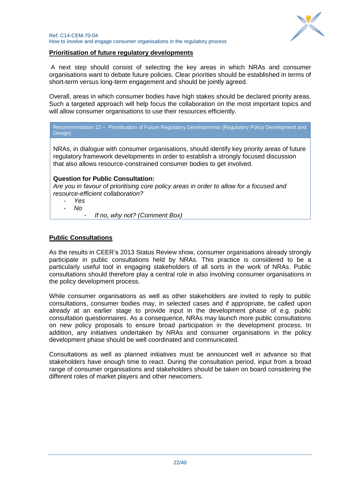

# **Prioritisation of future regulatory developments**

A next step should consist of selecting the key areas in which NRAs and consumer organisations want to debate future policies. Clear priorities should be established in terms of short-term versus long-term engagement and should be jointly agreed.

Overall, areas in which consumer bodies have high stakes should be declared priority areas. Such a targeted approach will help focus the collaboration on the most important topics and will allow consumer organisations to use their resources efficiently.

Recommendation 12 – Prioritisation of Future Regulatory Developments (Regulatory Policy Development and Design)

NRAs, in dialogue with consumer organisations, should identify key priority areas of future regulatory framework developments in order to establish a strongly focused discussion that also allows resource-constrained consumer bodies to get involved.

# **Question for Public Consultation:**

*Are you in favour of prioritising core policy areas in order to allow for a focused and resource-efficient collaboration?*

- *Yes*
- *No*
	- *If no, why not? (Comment Box)*

# **Public Consultations**

As the results in CEER"s 2013 Status Review show, consumer organisations already strongly participate in public consultations held by NRAs. This practice is considered to be a particularly useful tool in engaging stakeholders of all sorts in the work of NRAs. Public consultations should therefore play a central role in also involving consumer organisations in the policy development process.

While consumer organisations as well as other stakeholders are invited to reply to public consultations, consumer bodies may, in selected cases and if appropriate, be called upon already at an earlier stage to provide input in the development phase of e.g. public consultation questionnaires. As a consequence, NRAs may launch more public consultations on new policy proposals to ensure broad participation in the development process. In addition, any initiatives undertaken by NRAs and consumer organisations in the policy development phase should be well coordinated and communicated.

Consultations as well as planned initiatives must be announced well in advance so that stakeholders have enough time to react. During the consultation period, input from a broad range of consumer organisations and stakeholders should be taken on board considering the different roles of market players and other newcomers.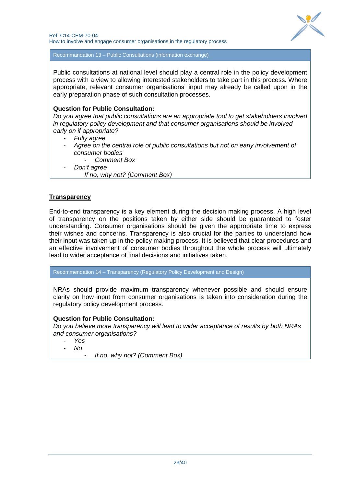

Recommandation 13 – Public Consultations (information exchange)

Public consultations at national level should play a central role in the policy development process with a view to allowing interested stakeholders to take part in this process. Where appropriate, relevant consumer organisations" input may already be called upon in the early preparation phase of such consultation processes.

# **Question for Public Consultation:**

*Do you agree that public consultations are an appropriate tool to get stakeholders involved in regulatory policy development and that consumer organisations should be involved early on if appropriate?*

- *Fully agree*
- *Agree on the central role of public consultations but not on early involvement of consumer bodies*
	- *Comment Box*
- *Don't agree*

*If no, why not? (Comment Box)*

# **Transparency**

End-to-end transparency is a key element during the decision making process. A high level of transparency on the positions taken by either side should be guaranteed to foster understanding. Consumer organisations should be given the appropriate time to express their wishes and concerns. Transparency is also crucial for the parties to understand how their input was taken up in the policy making process. It is believed that clear procedures and an effective involvement of consumer bodies throughout the whole process will ultimately lead to wider acceptance of final decisions and initiatives taken.

Recommendation 14 – Transparency (Regulatory Policy Development and Design)

NRAs should provide maximum transparency whenever possible and should ensure clarity on how input from consumer organisations is taken into consideration during the regulatory policy development process.

# **Question for Public Consultation:**

*Do you believe more transparency will lead to wider acceptance of results by both NRAs and consumer organisations?*

- *Yes*

- *No*

- *If no, why not? (Comment Box)*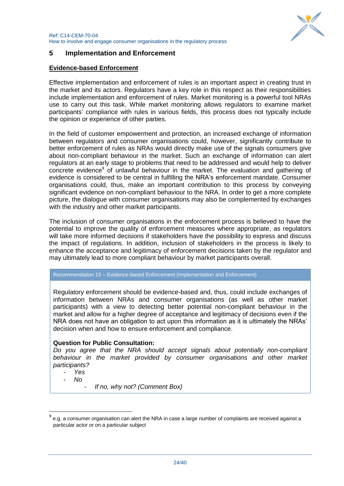

# <span id="page-23-0"></span>**5 Implementation and Enforcement**

#### **Evidence-based Enforcement**

Effective implementation and enforcement of rules is an important aspect in creating trust in the market and its actors. Regulators have a key role in this respect as their responsibilities include implementation and enforcement of rules. Market monitoring is a powerful tool NRAs use to carry out this task. While market monitoring allows regulators to examine market participants' compliance with rules in various fields, this process does not typically include the opinion or experience of other parties.

In the field of customer empowerment and protection, an increased exchange of information between regulators and consumer organisations could, however, significantly contribute to better enforcement of rules as NRAs would directly make use of the signals consumers give about non-compliant behaviour in the market. Such an exchange of information can alert regulators at an early stage to problems that need to be addressed and would help to deliver concrete evidence<sup>9</sup> of unlawful behaviour in the market. The evaluation and gathering of evidence is considered to be central in fulfilling the NRA"s enforcement mandate. Consumer organisations could, thus, make an important contribution to this process by conveying significant evidence on non-compliant behaviour to the NRA. In order to get a more complete picture, the dialogue with consumer organisations may also be complemented by exchanges with the industry and other market participants.

The inclusion of consumer organisations in the enforcement process is believed to have the potential to improve the quality of enforcement measures where appropriate, as regulators will take more informed decisions if stakeholders have the possibility to express and discuss the impact of regulations. In addition, inclusion of stakeholders in the process is likely to enhance the acceptance and legitimacy of enforcement decisions taken by the regulator and may ultimately lead to more compliant behaviour by market participants overall.

#### Recommendation 15 – Evidence-based Enforcement (Implementation and Enforcement)

Regulatory enforcement should be evidence-based and, thus, could include exchanges of information between NRAs and consumer organisations (as well as other market participants) with a view to detecting better potential non-compliant behaviour in the market and allow for a higher degree of acceptance and legitimacy of decisions even if the NRA does not have an obligation to act upon this information as it is ultimately the NRAs" decision when and how to ensure enforcement and compliance.

#### **Question for Public Consultation:**

*Do you agree that the NRA should accept signals about potentially non-compliant behaviour in the market provided by consumer organisations and other market participants?*

- *Yes*

- *No*

-

- *If no, why not? (Comment Box)*

<sup>9</sup> e.g. a consumer organisation can alert the NRA in case a large number of complaints are received against a particular actor or on a particular subject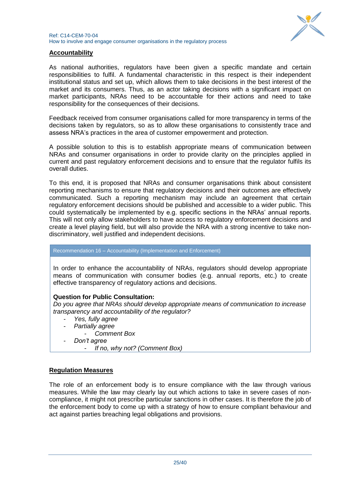

# **Accountability**

As national authorities, regulators have been given a specific mandate and certain responsibilities to fulfil. A fundamental characteristic in this respect is their independent institutional status and set up, which allows them to take decisions in the best interest of the market and its consumers. Thus, as an actor taking decisions with a significant impact on market participants, NRAs need to be accountable for their actions and need to take responsibility for the consequences of their decisions.

Feedback received from consumer organisations called for more transparency in terms of the decisions taken by regulators, so as to allow these organisations to consistently trace and assess NRA"s practices in the area of customer empowerment and protection.

A possible solution to this is to establish appropriate means of communication between NRAs and consumer organisations in order to provide clarity on the principles applied in current and past regulatory enforcement decisions and to ensure that the regulator fulfils its overall duties.

To this end, it is proposed that NRAs and consumer organisations think about consistent reporting mechanisms to ensure that regulatory decisions and their outcomes are effectively communicated. Such a reporting mechanism may include an agreement that certain regulatory enforcement decisions should be published and accessible to a wider public. This could systematically be implemented by e.g. specific sections in the NRAs" annual reports. This will not only allow stakeholders to have access to regulatory enforcement decisions and create a level playing field, but will also provide the NRA with a strong incentive to take nondiscriminatory, well justified and independent decisions.

#### Recommendation 16 – Accountability (Implementation and Enforcement)

In order to enhance the accountability of NRAs, regulators should develop appropriate means of communication with consumer bodies (e.g. annual reports, etc.) to create effective transparency of regulatory actions and decisions.

# **Question for Public Consultation:**

*Do you agree that NRAs should develop appropriate means of communication to increase transparency and accountability of the regulator?*

- *Yes, fully agree*
- *Partially agree*
- *Comment Box*
- *Don't agree*
	- *If no, why not? (Comment Box)*

# **Regulation Measures**

The role of an enforcement body is to ensure compliance with the law through various measures. While the law may clearly lay out which actions to take in severe cases of noncompliance, it might not prescribe particular sanctions in other cases. It is therefore the job of the enforcement body to come up with a strategy of how to ensure compliant behaviour and act against parties breaching legal obligations and provisions.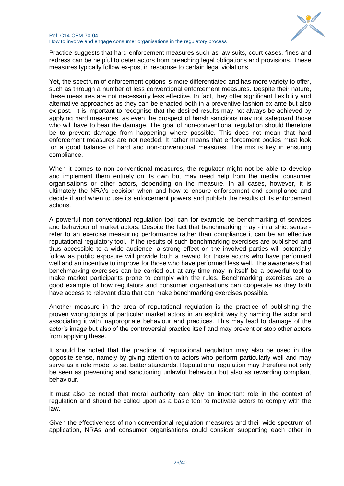

#### Ref: C14-CEM-70-04 How to involve and engage consumer organisations in the regulatory process

Practice suggests that hard enforcement measures such as law suits, court cases, fines and redress can be helpful to deter actors from breaching legal obligations and provisions. These measures typically follow ex-post in response to certain legal violations.

Yet, the spectrum of enforcement options is more differentiated and has more variety to offer, such as through a number of less conventional enforcement measures. Despite their nature, these measures are not necessarily less effective. In fact, they offer significant flexibility and alternative approaches as they can be enacted both in a preventive fashion ex-ante but also ex-post. It is important to recognise that the desired results may not always be achieved by applying hard measures, as even the prospect of harsh sanctions may not safeguard those who will have to bear the damage. The goal of non-conventional regulation should therefore be to prevent damage from happening where possible. This does not mean that hard enforcement measures are not needed. It rather means that enforcement bodies must look for a good balance of hard and non-conventional measures. The mix is key in ensuring compliance.

When it comes to non-conventional measures, the regulator might not be able to develop and implement them entirely on its own but may need help from the media, consumer organisations or other actors, depending on the measure. In all cases, however, it is ultimately the NRA"s decision when and how to ensure enforcement and compliance and decide if and when to use its enforcement powers and publish the results of its enforcement actions.

A powerful non-conventional regulation tool can for example be benchmarking of services and behaviour of market actors. Despite the fact that benchmarking may - in a strict sense refer to an exercise measuring performance rather than compliance it can be an effective reputational regulatory tool. If the results of such benchmarking exercises are published and thus accessible to a wide audience, a strong effect on the involved parties will potentially follow as public exposure will provide both a reward for those actors who have performed well and an incentive to improve for those who have performed less well. The awareness that benchmarking exercises can be carried out at any time may in itself be a powerful tool to make market participants prone to comply with the rules. Benchmarking exercises are a good example of how regulators and consumer organisations can cooperate as they both have access to relevant data that can make benchmarking exercises possible.

Another measure in the area of reputational regulation is the practice of publishing the proven wrongdoings of particular market actors in an explicit way by naming the actor and associating it with inappropriate behaviour and practices. This may lead to damage of the actor"s image but also of the controversial practice itself and may prevent or stop other actors from applying these.

It should be noted that the practice of reputational regulation may also be used in the opposite sense, namely by giving attention to actors who perform particularly well and may serve as a role model to set better standards. Reputational regulation may therefore not only be seen as preventing and sanctioning unlawful behaviour but also as rewarding compliant behaviour.

It must also be noted that moral authority can play an important role in the context of regulation and should be called upon as a basic tool to motivate actors to comply with the law.

Given the effectiveness of non-conventional regulation measures and their wide spectrum of application, NRAs and consumer organisations could consider supporting each other in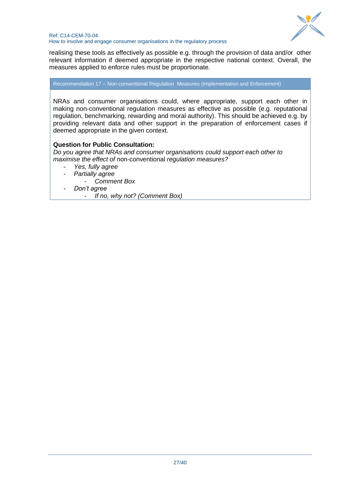

realising these tools as effectively as possible e.g. through the provision of data and/or other relevant information if deemed appropriate in the respective national context. Overall, the measures applied to enforce rules must be proportionate.

Recommendation 17 – Non-conventional Regulation Measures (Implementation and Enforcement)

NRAs and consumer organisations could, where appropriate, support each other in making non-conventional regulation measures as effective as possible (e.g. reputational regulation, benchmarking, rewarding and moral authority). This should be achieved e.g. by providing relevant data and other support in the preparation of enforcement cases if deemed appropriate in the given context.

# **Question for Public Consultation:**

*Do you agree that NRAs and consumer organisations could support each other to maximise the effect of* non-conventional *regulation measures?* 

- *Yes, fully agree*
- *Partially agree* 
	- *Comment Box*
- *Don't agree*

- *If no, why not? (Comment Box)*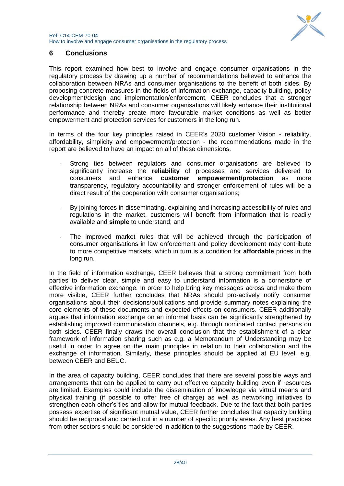

# <span id="page-27-0"></span>**6 Conclusions**

This report examined how best to involve and engage consumer organisations in the regulatory process by drawing up a number of recommendations believed to enhance the collaboration between NRAs and consumer organisations to the benefit of both sides. By proposing concrete measures in the fields of information exchange, capacity building, policy development/design and implementation/enforcement, CEER concludes that a stronger relationship between NRAs and consumer organisations will likely enhance their institutional performance and thereby create more favourable market conditions as well as better empowerment and protection services for customers in the long run.

In terms of the four key principles raised in CEER"s 2020 customer Vision - reliability, affordability, simplicity and empowerment/protection - the recommendations made in the report are believed to have an impact on all of these dimensions.

- Strong ties between regulators and consumer organisations are believed to significantly increase the **reliability** of processes and services delivered to consumers and enhance **customer empowerment/protection** as more transparency, regulatory accountability and stronger enforcement of rules will be a direct result of the cooperation with consumer organisations;
- By joining forces in disseminating, explaining and increasing accessibility of rules and regulations in the market, customers will benefit from information that is readily available and **simple** to understand; and
- The improved market rules that will be achieved through the participation of consumer organisations in law enforcement and policy development may contribute to more competitive markets, which in turn is a condition for **affordable** prices in the long run.

In the field of information exchange, CEER believes that a strong commitment from both parties to deliver clear, simple and easy to understand information is a cornerstone of effective information exchange. In order to help bring key messages across and make them more visible, CEER further concludes that NRAs should pro-actively notify consumer organisations about their decisions/publications and provide summary notes explaining the core elements of these documents and expected effects on consumers. CEER additionally argues that information exchange on an informal basis can be significantly strengthened by establishing improved communication channels, e.g. through nominated contact persons on both sides. CEER finally draws the overall conclusion that the establishment of a clear framework of information sharing such as e.g. a Memorandum of Understanding may be useful in order to agree on the main principles in relation to their collaboration and the exchange of information. Similarly, these principles should be applied at EU level, e.g. between CEER and BEUC.

In the area of capacity building, CEER concludes that there are several possible ways and arrangements that can be applied to carry out effective capacity building even if resources are limited. Examples could include the dissemination of knowledge via virtual means and physical training (if possible to offer free of charge) as well as networking initiatives to strengthen each other"s ties and allow for mutual feedback. Due to the fact that both parties possess expertise of significant mutual value, CEER further concludes that capacity building should be reciprocal and carried out in a number of specific priority areas. Any best practices from other sectors should be considered in addition to the suggestions made by CEER.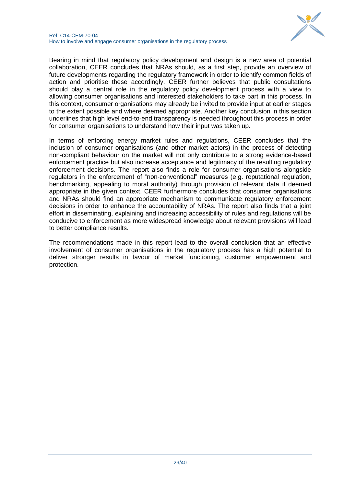

Bearing in mind that regulatory policy development and design is a new area of potential collaboration, CEER concludes that NRAs should, as a first step, provide an overview of future developments regarding the regulatory framework in order to identify common fields of action and prioritise these accordingly. CEER further believes that public consultations should play a central role in the regulatory policy development process with a view to allowing consumer organisations and interested stakeholders to take part in this process. In this context, consumer organisations may already be invited to provide input at earlier stages to the extent possible and where deemed appropriate. Another key conclusion in this section underlines that high level end-to-end transparency is needed throughout this process in order for consumer organisations to understand how their input was taken up.

In terms of enforcing energy market rules and regulations, CEER concludes that the inclusion of consumer organisations (and other market actors) in the process of detecting non-compliant behaviour on the market will not only contribute to a strong evidence-based enforcement practice but also increase acceptance and legitimacy of the resulting regulatory enforcement decisions. The report also finds a role for consumer organisations alongside regulators in the enforcement of "non-conventional" measures (e.g. reputational regulation, benchmarking, appealing to moral authority) through provision of relevant data if deemed appropriate in the given context. CEER furthermore concludes that consumer organisations and NRAs should find an appropriate mechanism to communicate regulatory enforcement decisions in order to enhance the accountability of NRAs. The report also finds that a joint effort in disseminating, explaining and increasing accessibility of rules and regulations will be conducive to enforcement as more widespread knowledge about relevant provisions will lead to better compliance results.

The recommendations made in this report lead to the overall conclusion that an effective involvement of consumer organisations in the regulatory process has a high potential to deliver stronger results in favour of market functioning, customer empowerment and protection.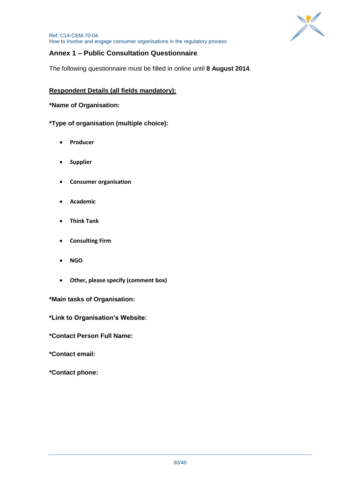

# <span id="page-29-0"></span>**Annex 1 – Public Consultation Questionnaire**

The following questionnaire must be filled in online until **8 August 2014**.

# **Respondent Details (all fields mandatory):**

# **\*Name of Organisation:**

**\*Type of organisation (multiple choice):**

- **Producer**
- **•** Supplier
- **Consumer organisation**
- **Academic**
- **Think Tank**
- **Consulting Firm**
- **NGO**
- **Other, please specify (comment box)**

# **\*Main tasks of Organisation:**

**\*Link to Organisation's Website:**

**\*Contact Person Full Name:**

**\*Contact email:**

**\*Contact phone:**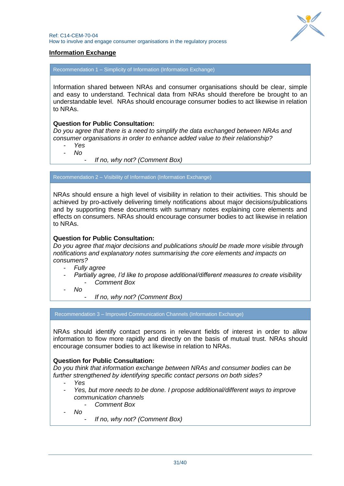

# **Information Exchange**

Recommendation 1 – Simplicity of Information (Information Exchange)

Information shared between NRAs and consumer organisations should be clear, simple and easy to understand. Technical data from NRAs should therefore be brought to an understandable level. NRAs should encourage consumer bodies to act likewise in relation to NRAs.

#### **Question for Public Consultation:**

*Do you agree that there is a need to simplify the data exchanged between NRAs and consumer organisations in order to enhance added value to their relationship?* 

- *Yes*
- *No*
	- *If no, why not? (Comment Box)*

Recommendation 2 – Visibility of Information (Information Exchange)

NRAs should ensure a high level of visibility in relation to their activities. This should be achieved by pro-actively delivering timely notifications about major decisions/publications and by supporting these documents with summary notes explaining core elements and effects on consumers. NRAs should encourage consumer bodies to act likewise in relation to NRAs.

#### **Question for Public Consultation:**

*Do you agree that major decisions and publications should be made more visible through notifications and explanatory notes summarising the core elements and impacts on consumers?* 

- *Fully agree*
- *Partially agree, I'd like to propose additional/different measures to create visibility* - *Comment Box*
- *No*
	- *If no, why not? (Comment Box)*

Recommendation 3 – Improved Communication Channels (Information Exchange)

NRAs should identify contact persons in relevant fields of interest in order to allow information to flow more rapidly and directly on the basis of mutual trust. NRAs should encourage consumer bodies to act likewise in relation to NRAs.

#### **Question for Public Consultation:**

*Do you think that information exchange between NRAs and consumer bodies can be further strengthened by identifying specific contact persons on both sides?* 

- *Yes*
- *Yes, but more needs to be done. I propose additional/different ways to improve communication channels*
	- *Comment Box*
- *No*
	- *If no, why not? (Comment Box)*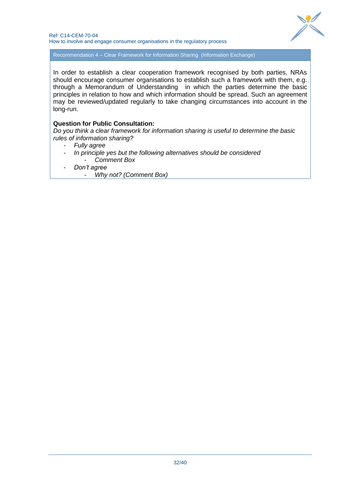

Recommendation 4 – Clear Framework for Information Sharing (Information Exchange)

In order to establish a clear cooperation framework recognised by both parties, NRAs should encourage consumer organisations to establish such a framework with them, e.g. through a Memorandum of Understanding in which the parties determine the basic principles in relation to how and which information should be spread. Such an agreement may be reviewed/updated regularly to take changing circumstances into account in the long-run.

#### **Question for Public Consultation:**

*Do you think a clear framework for information sharing is useful to determine the basic rules of information sharing?*

- *Fully agree*
- *In principle yes but the following alternatives should be considered* - *Comment Box*
- *Don't agree*
	- *Why not? (Comment Box)*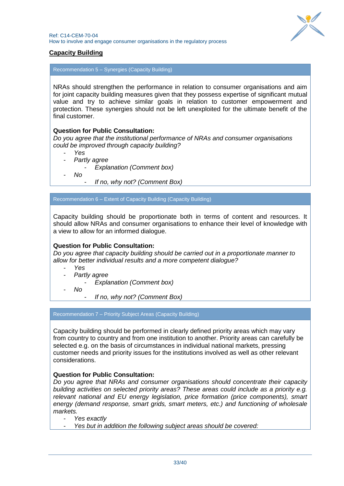

# **Capacity Building**

Recommendation 5 – Synergies (Capacity Building)

NRAs should strengthen the performance in relation to consumer organisations and aim for joint capacity building measures given that they possess expertise of significant mutual value and try to achieve similar goals in relation to customer empowerment and protection. These synergies should not be left unexploited for the ultimate benefit of the final customer.

#### **Question for Public Consultation:**

*Do you agree that the institutional performance of NRAs and consumer organisations could be improved through capacity building?*

- *Yes*
- *Partly agree*
	- *Explanation (Comment box)*
- *No*
- *If no, why not? (Comment Box)*

Recommendation 6 – Extent of Capacity Building (Capacity Building)

Capacity building should be proportionate both in terms of content and resources. It should allow NRAs and consumer organisations to enhance their level of knowledge with a view to allow for an informed dialogue.

#### **Question for Public Consultation:**

*Do you agree that capacity building should be carried out in a proportionate manner to allow for better individual results and a more competent dialogue?*

- *Yes*
- *Partly agree*
	- *Explanation (Comment box)*
- *No*
	- *If no, why not? (Comment Box)*

#### Recommendation 7 – Priority Subject Areas (Capacity Building)

Capacity building should be performed in clearly defined priority areas which may vary from country to country and from one institution to another. Priority areas can carefully be selected e.g. on the basis of circumstances in individual national markets, pressing customer needs and priority issues for the institutions involved as well as other relevant considerations.

#### **Question for Public Consultation:**

*Do you agree that NRAs and consumer organisations should concentrate their capacity building activities on selected priority areas? These areas could include as a priority e.g. relevant national and EU energy legislation, price formation (price components), smart energy (demand response, smart grids, smart meters, etc.) and functioning of wholesale markets.* 

- *Yes exactly*

- *Yes but in addition the following subject areas should be covered:*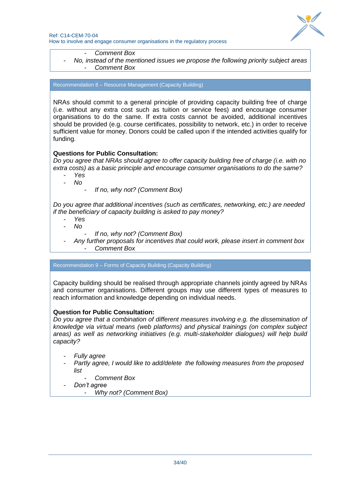

- *Comment Box*
- *No, instead of the mentioned issues we propose the following priority subject areas* - *Comment Box*

Recommendation 8 – Resource Management (Capacity Building)

NRAs should commit to a general principle of providing capacity building free of charge (i.e. without any extra cost such as tuition or service fees) and encourage consumer organisations to do the same. If extra costs cannot be avoided, additional incentives should be provided (e.g. course certificates, possibility to network, etc.) in order to receive sufficient value for money. Donors could be called upon if the intended activities qualify for funding.

# **Questions for Public Consultation:**

*Do you agree that NRAs should agree to offer capacity building free of charge (i.e. with no extra costs) as a basic principle and encourage consumer organisations to do the same?* 

- *Yes*
- *No*
	- *If no, why not? (Comment Box)*

*Do you agree that additional incentives (such as certificates, networking, etc.) are needed if the beneficiary of capacity building is asked to pay money?*

- *Yes*
- *No*
	- *If no, why not? (Comment Box)*

- *Any further proposals for incentives that could work, please insert in comment box* - *Comment Box* 

Recommendation 9 – Forms of Capacity Building (Capacity Building)

Capacity building should be realised through appropriate channels jointly agreed by NRAs and consumer organisations. Different groups may use different types of measures to reach information and knowledge depending on individual needs.

#### **Question for Public Consultation:**

*Do you agree that a combination of different measures involving e.g. the dissemination of knowledge via virtual means (web platforms) and physical trainings (on complex subject areas) as well as networking initiatives (e.g. multi-stakeholder dialogues) will help build capacity?*

- *Fully agree*
- *Partly agree, I would like to add/delete the following measures from the proposed list*
	- *Comment Box*
- *Don't agree*
	- *Why not? (Comment Box)*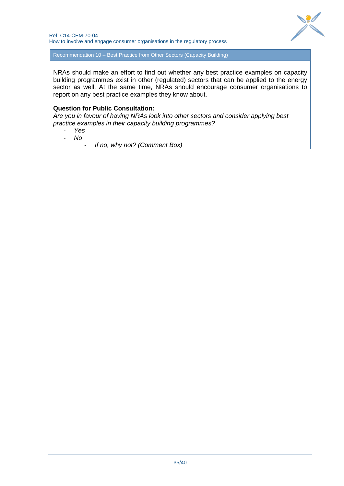

Recommendation 10 – Best Practice from Other Sectors (Capacity Building)

NRAs should make an effort to find out whether any best practice examples on capacity building programmes exist in other (regulated) sectors that can be applied to the energy sector as well. At the same time, NRAs should encourage consumer organisations to report on any best practice examples they know about.

#### **Question for Public Consultation:**

*Are you in favour of having NRAs look into other sectors and consider applying best practice examples in their capacity building programmes?* 

- *Yes*
- *No*

- *If no, why not? (Comment Box)*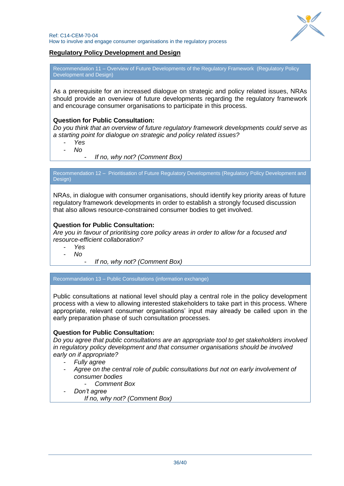

# **Regulatory Policy Development and Design**

Recommendation 11 – Overview of Future Developments of the Regulatory Framework (Regulatory Policy Development and Design)

As a prerequisite for an increased dialogue on strategic and policy related issues, NRAs should provide an overview of future developments regarding the regulatory framework and encourage consumer organisations to participate in this process.

#### **Question for Public Consultation:**

*Do you think that an overview of future regulatory framework developments could serve as a starting point for dialogue on strategic and policy related issues?*

- *Yes*
- *No*
	- *If no, why not? (Comment Box)*

Recommendation 12 – Prioritisation of Future Regulatory Developments (Regulatory Policy Development and Design)

NRAs, in dialogue with consumer organisations, should identify key priority areas of future regulatory framework developments in order to establish a strongly focused discussion that also allows resource-constrained consumer bodies to get involved.

#### **Question for Public Consultation:**

*Are you in favour of prioritising core policy areas in order to allow for a focused and resource-efficient collaboration?*

- *Yes*
- *No*
- *If no, why not? (Comment Box)*

Recommandation 13 – Public Consultations (information exchange)

Public consultations at national level should play a central role in the policy development process with a view to allowing interested stakeholders to take part in this process. Where appropriate, relevant consumer organisations" input may already be called upon in the early preparation phase of such consultation processes.

#### **Question for Public Consultation:**

*Do you agree that public consultations are an appropriate tool to get stakeholders involved in regulatory policy development and that consumer organisations should be involved early on if appropriate?*

- *Fully agree*
- *Agree on the central role of public consultations but not on early involvement of consumer bodies*
	- *Comment Box*
- *Don't agree*

*If no, why not? (Comment Box)*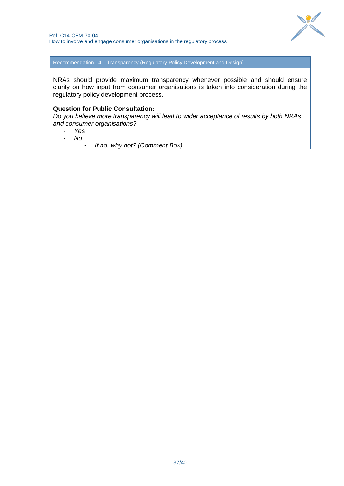

Recommendation 14 – Transparency (Regulatory Policy Development and Design)

NRAs should provide maximum transparency whenever possible and should ensure clarity on how input from consumer organisations is taken into consideration during the regulatory policy development process.

#### **Question for Public Consultation:**

*Do you believe more transparency will lead to wider acceptance of results by both NRAs and consumer organisations?*

- *Yes*
- *No*

- *If no, why not? (Comment Box)*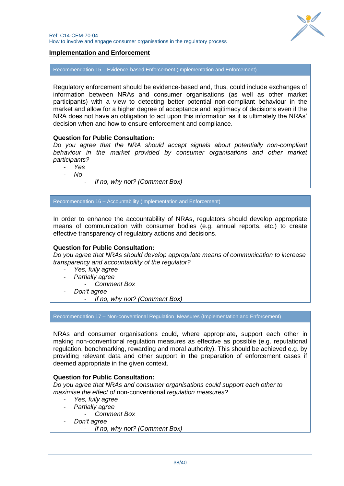

# **Implementation and Enforcement**

Recommendation 15 – Evidence-based Enforcement (Implementation and Enforcement)

Regulatory enforcement should be evidence-based and, thus, could include exchanges of information between NRAs and consumer organisations (as well as other market participants) with a view to detecting better potential non-compliant behaviour in the market and allow for a higher degree of acceptance and legitimacy of decisions even if the NRA does not have an obligation to act upon this information as it is ultimately the NRAs" decision when and how to ensure enforcement and compliance.

#### **Question for Public Consultation:**

*Do you agree that the NRA should accept signals about potentially non-compliant behaviour in the market provided by consumer organisations and other market participants?*

- *Yes*
- *No*
	- *If no, why not? (Comment Box)*

Recommendation 16 – Accountability (Implementation and Enforcement)

In order to enhance the accountability of NRAs, regulators should develop appropriate means of communication with consumer bodies (e.g. annual reports, etc.) to create effective transparency of regulatory actions and decisions.

# **Question for Public Consultation:**

*Do you agree that NRAs should develop appropriate means of communication to increase transparency and accountability of the regulator?*

- *Yes, fully agree*
- *Partially agree*
	- *Comment Box*
- *Don't agree*
	- *If no, why not? (Comment Box)*

<span id="page-37-0"></span>Recommendation 17 – Non-conventional Regulation Measures (Implementation and Enforcement)

NRAs and consumer organisations could, where appropriate, support each other in making non-conventional regulation measures as effective as possible (e.g. reputational regulation, benchmarking, rewarding and moral authority). This should be achieved e.g. by providing relevant data and other support in the preparation of enforcement cases if deemed appropriate in the given context.

#### **Question for Public Consultation:**

*Do you agree that NRAs and consumer organisations could support each other to maximise the effect of* non-conventional *regulation measures?* 

- *Yes, fully agree*
	- *Partially agree*
	- *Comment Box*
	- *Don't agree*
		- *If no, why not? (Comment Box)*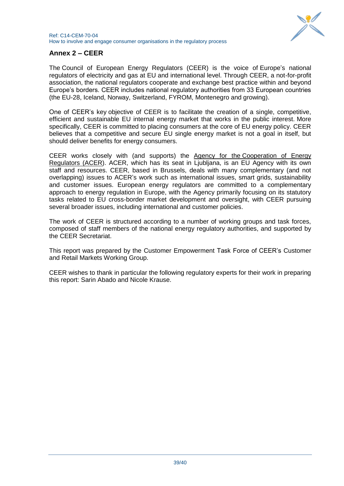

# **Annex 2 – CEER**

The Council of European Energy Regulators (CEER) is the voice of Europe"s national regulators of electricity and gas at EU and international level. Through CEER, a not-for-profit association, the national regulators cooperate and exchange best practice within and beyond Europe"s borders. CEER includes national regulatory authorities from 33 European countries (the EU-28, Iceland, Norway, Switzerland, FYROM, Montenegro and growing).

One of CEER"s key objective of CEER is to facilitate the creation of a single, competitive, efficient and sustainable EU internal energy market that works in the public interest. More specifically, CEER is committed to placing consumers at the core of EU energy policy. CEER believes that a competitive and secure EU single energy market is not a goal in itself, but should deliver benefits for energy consumers.

CEER works closely with (and supports) the Agency for the [Cooperation of Energy](http://www.acer.europa.eu/portal/page/portal/ACER_HOME)  [Regulators \(ACER\)](http://www.acer.europa.eu/portal/page/portal/ACER_HOME). ACER, which has its seat in Ljubljana, is an EU Agency with its own staff and resources. CEER, based in Brussels, deals with many complementary (and not overlapping) issues to ACER"s work such as international issues, smart grids, sustainability and customer issues. European energy regulators are committed to a complementary approach to energy regulation in Europe, with the Agency primarily focusing on its statutory tasks related to EU cross-border market development and oversight, with CEER pursuing several broader issues, including international and customer policies.

The work of CEER is structured according to a number of working groups and task forces, composed of staff members of the national energy regulatory authorities, and supported by the CEER Secretariat.

This report was prepared by the Customer Empowerment Task Force of CEER"s Customer and Retail Markets Working Group.

CEER wishes to thank in particular the following regulatory experts for their work in preparing this report: Sarin Abado and Nicole Krause.